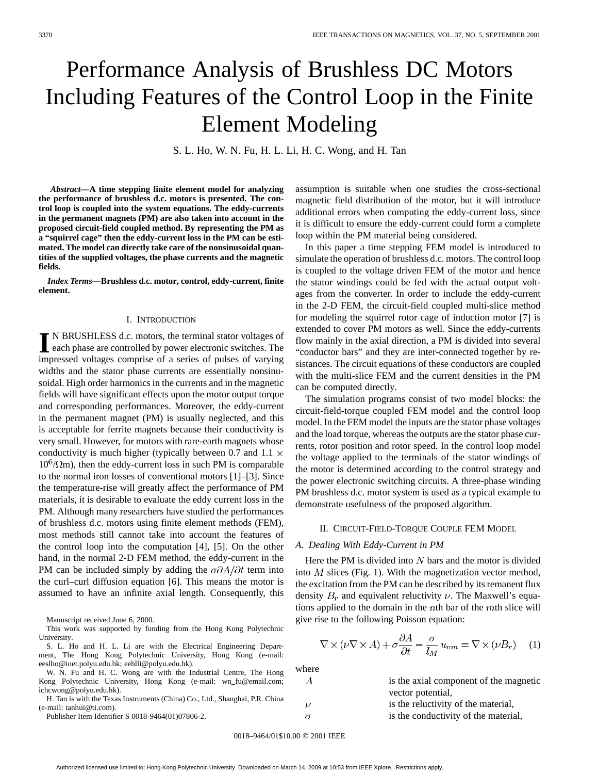# Performance Analysis of Brushless DC Motors Including Features of the Control Loop in the Finite Element Modeling

S. L. Ho, W. N. Fu, H. L. Li, H. C. Wong, and H. Tan

*Abstract—***A time stepping finite element model for analyzing the performance of brushless d.c. motors is presented. The control loop is coupled into the system equations. The eddy-currents in the permanent magnets (PM) are also taken into account in the proposed circuit-field coupled method. By representing the PM as a "squirrel cage" then the eddy-current loss in the PM can be estimated. The model can directly take care of the nonsinusoidal quantities of the supplied voltages, the phase currents and the magnetic fields.**

*Index Terms—***Brushless d.c. motor, control, eddy-current, finite element.**

#### I. INTRODUCTION

**I** N BRUSHLESS d.c. motors, the terminal stator voltages of each phase are controlled by power electronic switches. The immediator of experimental state of experimental state of the state of the state of the state of the impressed voltages comprise of a series of pulses of varying widths and the stator phase currents are essentially nonsinusoidal. High order harmonics in the currents and in the magnetic fields will have significant effects upon the motor output torque and corresponding performances. Moreover, the eddy-current in the permanent magnet (PM) is usually neglected, and this is acceptable for ferrite magnets because their conductivity is very small. However, for motors with rare-earth magnets whose conductivity is much higher (typically between 0.7 and 1.1  $\times$  $10^{6}$ / $\Omega$ m), then the eddy-current loss in such PM is comparable to the normal iron losses of conventional motors [1]–[3]. Since the temperature-rise will greatly affect the performance of PM materials, it is desirable to evaluate the eddy current loss in the PM. Although many researchers have studied the performances of brushless d.c. motors using finite element methods (FEM), most methods still cannot take into account the features of the control loop into the computation [4], [5]. On the other hand, in the normal 2-D FEM method, the eddy-current in the PM can be included simply by adding the  $\sigma \partial A / \partial t$  term into the curl–curl diffusion equation [6]. This means the motor is assumed to have an infinite axial length. Consequently, this

Manuscript received June 6, 2000.

This work was supported by funding from the Hong Kong Polytechnic University.

S. L. Ho and H. L. Li are with the Electrical Engineering Department, The Hong Kong Polytechnic University, Hong Kong (e-mail: eeslho@inet.polyu.edu.hk; eehlli@polyu.edu.hk).

W. N. Fu and H. C. Wong are with the Industrial Centre, The Hong Kong Polytechnic University, Hong Kong (e-mail: wn\_fu@email.com; ichcwong@polyu.edu.hk).

H. Tan is with the Texas Instruments (China) Co., Ltd., Shanghai, P.R. China (e-mail: tanhui@ti.com).

Publisher Item Identifier S 0018-9464(01)07806-2.

assumption is suitable when one studies the cross-sectional magnetic field distribution of the motor, but it will introduce additional errors when computing the eddy-current loss, since it is difficult to ensure the eddy-current could form a complete loop within the PM material being considered.

In this paper a time stepping FEM model is introduced to simulate the operation of brushless d.c. motors. The control loop is coupled to the voltage driven FEM of the motor and hence the stator windings could be fed with the actual output voltages from the converter. In order to include the eddy-current in the 2-D FEM, the circuit-field coupled multi-slice method for modeling the squirrel rotor cage of induction motor [7] is extended to cover PM motors as well. Since the eddy-currents flow mainly in the axial direction, a PM is divided into several "conductor bars" and they are inter-connected together by resistances. The circuit equations of these conductors are coupled with the multi-slice FEM and the current densities in the PM can be computed directly.

The simulation programs consist of two model blocks: the circuit-field-torque coupled FEM model and the control loop model. In the FEM model the inputs are the stator phase voltages and the load torque, whereas the outputs are the stator phase currents, rotor position and rotor speed. In the control loop model the voltage applied to the terminals of the stator windings of the motor is determined according to the control strategy and the power electronic switching circuits. A three-phase winding PM brushless d.c. motor system is used as a typical example to demonstrate usefulness of the proposed algorithm.

## II. CIRCUIT-FIELD-TORQUE COUPLE FEM MODEL

# *A. Dealing With Eddy-Current in PM*

Here the PM is divided into  $N$  bars and the motor is divided into  $M$  slices (Fig. 1). With the magnetization vector method, the excitation from the PM can be described by its remanent flux density  $B_r$  and equivalent reluctivity  $\nu$ . The Maxwell's equations applied to the domain in the  $n$ th bar of the  $m$ th slice will give rise to the following Poisson equation:

$$
\nabla \times (\nu \nabla \times A) + \sigma \frac{\partial A}{\partial t} - \frac{\sigma}{l_M} u_{mn} = \nabla \times (\nu B_r) \quad (1)
$$

where

| А  | is the axial component of the magnetic |
|----|----------------------------------------|
|    | vector potential,                      |
| 17 | is the reluctivity of the material,    |
|    | is the conductivity of the material,   |
|    |                                        |

0018–9464/01\$10.00 © 2001 IEEE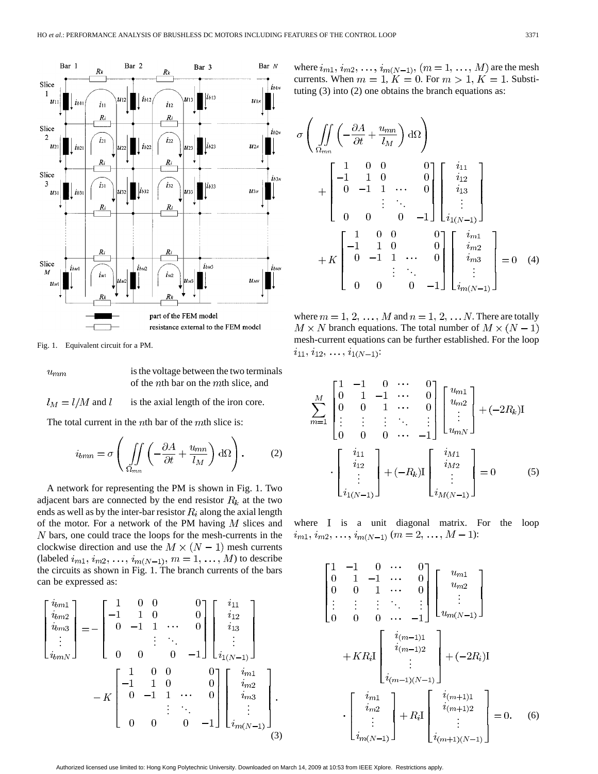

Fig. 1. Equivalent circuit for a PM.

 $u_{mm}$ 

is the voltage between the two terminals of the  $nth$  bar on the  $mth$  slice, and

 $l_M = l/M$  and l is the axial length of the iron core.

The total current in the *th bar of the*  $*m*$ *th slice is:* 

$$
i_{bmn} = \sigma \left( \iint\limits_{\Omega_{mn}} \left( -\frac{\partial A}{\partial t} + \frac{u_{mn}}{l_M} \right) d\Omega \right). \tag{2}
$$

A network for representing the PM is shown in Fig. 1. Two adjacent bars are connected by the end resistor  $R_k$  at the two ends as well as by the inter-bar resistor  $R_i$  along the axial length of the motor. For a network of the PM having  $M$  slices and  $N$  bars, one could trace the loops for the mesh-currents in the clockwise direction and use the  $M \times (N-1)$  mesh currents (labeled  $i_{m1}, i_{m2}, \ldots, i_{m(N-1)}, m = 1, \ldots, M$ ) to describe the circuits as shown in Fig. 1. The branch currents of the bars can be expressed as:

. . . . . . ... . . . . . . ... . . . (3)

where  $i_{m1}, i_{m2}, \ldots, i_{m(N-1)}, (m = 1, \ldots, M)$  are the mesh currents. When  $m = 1$ ,  $K = 0$ . For  $m > 1$ ,  $K = 1$ . Substituting (3) into (2) one obtains the branch equations as:

$$
\sigma \left( \iint\limits_{\Omega_{mn}} \left( -\frac{\partial A}{\partial t} + \frac{u_{mn}}{l_M} \right) d\Omega \right) + \begin{bmatrix} 1 & 0 & 0 & 0 \\ -1 & 1 & 0 & 0 \\ 0 & -1 & 1 & \cdots & 0 \\ & & \vdots & \ddots & \vdots \\ 0 & 0 & 0 & -1 \end{bmatrix} \begin{bmatrix} i_{11} \\ i_{12} \\ i_{13} \\ \vdots \\ i_{1(N-1)} \end{bmatrix} + K \begin{bmatrix} 1 & 0 & 0 & 0 \\ -1 & 1 & 0 & 0 \\ 0 & -1 & 1 & \cdots & 0 \\ & & \vdots & \ddots & \vdots \\ 0 & 0 & 0 & -1 \end{bmatrix} \begin{bmatrix} i_{m1} \\ i_{m2} \\ i_{m3} \\ \vdots \\ i_{m(N-1)} \end{bmatrix} = 0 \quad (4)
$$

where  $m = 1, 2, ..., M$  and  $n = 1, 2, ... N$ . There are totally  $M \times N$  branch equations. The total number of  $M \times (N-1)$ mesh-current equations can be further established. For the loop  $i_{11}, i_{12}, \ldots, i_{1(N-1)}$ :

$$
\sum_{m=1}^{M} \begin{bmatrix} 1 & -1 & 0 & \cdots & 0 \\ 0 & 1 & -1 & \cdots & 0 \\ 0 & 0 & 1 & \cdots & 0 \\ \vdots & \vdots & \vdots & \ddots & \vdots \\ 0 & 0 & 0 & \cdots & -1 \end{bmatrix} \begin{bmatrix} u_{m1} \\ u_{m2} \\ \vdots \\ u_{mN} \end{bmatrix} + (-2R_k)I
$$

$$
\cdot \begin{bmatrix} i_{11} \\ i_{12} \\ \vdots \\ i_{1(N-1)} \end{bmatrix} + (-R_k)I \begin{bmatrix} i_{M1} \\ i_{M2} \\ \vdots \\ i_{M(N-1)} \end{bmatrix} = 0
$$
(5)

where  $I$  is a unit diagonal matrix. For the loop  $i_{m1}, i_{m2}, \ldots, i_{m(N-1)}$   $(m = 2, \ldots, M - 1)$ :

$$
\begin{bmatrix}\n1 & -1 & 0 & \cdots & 0 \\
0 & 1 & -1 & \cdots & 0 \\
0 & 0 & 1 & \cdots & 0 \\
\vdots & \vdots & \vdots & \ddots & \vdots \\
0 & 0 & 0 & \cdots & -1\n\end{bmatrix}\n\begin{bmatrix}\nu_{m1} \\
u_{m2} \\
\vdots \\
u_{m(N-1)}\n\end{bmatrix}
$$
\n
$$
+ KR_iI \begin{bmatrix}\ni_{(m-1)1} \\
i_{(m-1)2} \\
\vdots \\
i_{(m-1)(N-1)}\n\end{bmatrix} + (-2R_i)I
$$
\n
$$
\cdot \begin{bmatrix}\ni_{m1} \\
i_{m2} \\
\vdots \\
i_{(m(N-1))}\n\end{bmatrix} + R_iI \begin{bmatrix}\ni_{(m+1)1} \\
i_{(m+1)2} \\
\vdots \\
i_{(m+1)(N-1)}\n\end{bmatrix} = 0.
$$
\n(6)

Authorized licensed use limited to: Hong Kong Polytechnic University. Downloaded on March 14, 2009 at 10:53 from IEEE Xplore. Restrictions apply.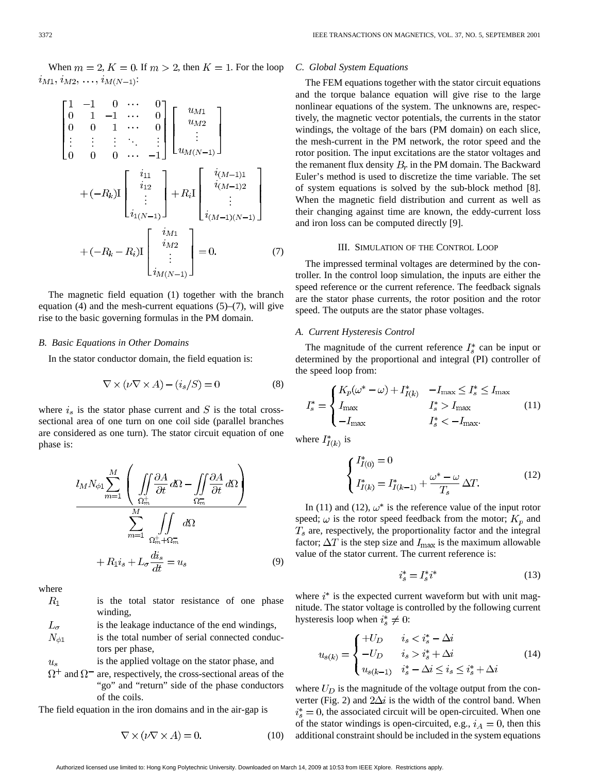When  $m = 2$ ,  $K = 0$ . If  $m > 2$ , then  $K = 1$ . For the loop  $i_{M1}, i_{M2}, \ldots, i_{M(N-1)}$ 

$$
\begin{bmatrix}\n1 & -1 & 0 & \cdots & 0 \\
0 & 1 & -1 & \cdots & 0 \\
0 & 0 & 1 & \cdots & 0 \\
\vdots & \vdots & \vdots & \ddots & \vdots \\
0 & 0 & 0 & \cdots & -1\n\end{bmatrix}\n\begin{bmatrix}\nu_{M1} \\
u_{M2} \\
\vdots \\
u_{M(N-1)}\n\end{bmatrix}
$$
\n
$$
+ (-R_k)\mathbf{I}\n\begin{bmatrix}\ni_{11} \\
i_{12} \\
\vdots \\
i_{1(N-1)}\n\end{bmatrix} + R_i\mathbf{I}\n\begin{bmatrix}\ni_{(M-1)1} \\
i_{(M-1)2} \\
\vdots \\
i_{(M-1)(N-1)}\n\end{bmatrix}
$$
\n
$$
+ (-R_k - R_i)\mathbf{I}\n\begin{bmatrix}\ni_{M1} \\
i_{M2} \\
\vdots \\
i_{M(N-1)}\n\end{bmatrix} = 0.
$$
\n(7)

The magnetic field equation (1) together with the branch equation  $(4)$  and the mesh-current equations  $(5)$ – $(7)$ , will give rise to the basic governing formulas in the PM domain.

# *B. Basic Equations in Other Domains*

In the stator conductor domain, the field equation is:

$$
\nabla \times (\nu \nabla \times A) - (i_s/S) = 0 \tag{8}
$$

where  $i_s$  is the stator phase current and S is the total crosssectional area of one turn on one coil side (parallel branches are considered as one turn). The stator circuit equation of one phase is:

$$
l_M N_{\phi 1} \sum_{m=1}^{M} \left( \iint_{\Omega_m^+} \frac{\partial A}{\partial t} d\Omega - \iint_{\Omega_m^-} \frac{\partial A}{\partial t} d\Omega \right) \newline \sum_{m=1}^{M} \iint_{\Omega_m^+ + \Omega_m^-} d\Omega \newline + R_1 i_s + L_\sigma \frac{di_s}{dt} = u_s \tag{9}
$$

where

| $R_{1}$ |          |  | is the total stator resistance of one phase |  |  |
|---------|----------|--|---------------------------------------------|--|--|
|         | winding, |  |                                             |  |  |
|         |          |  |                                             |  |  |

 $L_{\sigma}$ is the leakage inductance of the end windings,  $N_{\phi 1}$ is the total number of serial connected conductors per phase,

is the applied voltage on the stator phase, and  $u_s$ 

 $\Omega^+$  and  $\Omega^-$  are, respectively, the cross-sectional areas of the "go" and "return" side of the phase conductors of the coils.

The field equation in the iron domains and in the air-gap is

$$
\nabla \times (\nu \nabla \times A) = 0. \tag{10}
$$

## *C. Global System Equations*

The FEM equations together with the stator circuit equations and the torque balance equation will give rise to the large nonlinear equations of the system. The unknowns are, respectively, the magnetic vector potentials, the currents in the stator windings, the voltage of the bars (PM domain) on each slice, the mesh-current in the PM network, the rotor speed and the rotor position. The input excitations are the stator voltages and the remanent flux density  $B_r$  in the PM domain. The Backward Euler's method is used to discretize the time variable. The set of system equations is solved by the sub-block method [8]. When the magnetic field distribution and current as well as their changing against time are known, the eddy-current loss and iron loss can be computed directly [9].

### III. SIMULATION OF THE CONTROL LOOP

The impressed terminal voltages are determined by the controller. In the control loop simulation, the inputs are either the speed reference or the current reference. The feedback signals are the stator phase currents, the rotor position and the rotor speed. The outputs are the stator phase voltages.

## *A. Current Hysteresis Control*

The magnitude of the current reference  $I^*_{s}$  can be input or determined by the proportional and integral (PI) controller of the speed loop from:

$$
I_s^* = \begin{cases} K_p(\omega^* - \omega) + I_{I(k)}^* & -I_{\text{max}} \le I_s^* \le I_{\text{max}} \\ I_{\text{max}} & I_s^* > I_{\text{max}} \\ -I_{\text{max}} & I_s^* < -I_{\text{max}}. \end{cases}
$$
(11)

where  $I^*_{I(k)}$  is

$$
\begin{cases}\nI_{I(0)}^* = 0 \\
I_{I(k)}^* = I_{I(k-1)}^* + \frac{\omega^* - \omega}{T_s} \Delta T.\n\end{cases} \tag{12}
$$

In (11) and (12),  $\omega^*$  is the reference value of the input rotor speed;  $\omega$  is the rotor speed feedback from the motor;  $K_p$  and  $T<sub>s</sub>$  are, respectively, the proportionality factor and the integral factor;  $\Delta T$  is the step size and  $I_{\text{max}}$  is the maximum allowable value of the stator current. The current reference is:

$$
i_s^* = I_s^* i^* \tag{13}
$$

where  $i^*$  is the expected current waveform but with unit magnitude. The stator voltage is controlled by the following current hysteresis loop when  $i_s^* \neq 0$ :

$$
u_{s(k)} = \begin{cases} +U_D & i_s < i_s^* - \Delta i \\ -U_D & i_s > i_s^* + \Delta i \\ u_{s(k-1)} & i_s^* - \Delta i \le i_s \le i_s^* + \Delta i \end{cases} \tag{14}
$$

where  $U_D$  is the magnitude of the voltage output from the converter (Fig. 2) and  $2\Delta i$  is the width of the control band. When  $i_s^* = 0$ , the associated circuit will be open-circuited. When one of the stator windings is open-circuited, e.g.,  $i_A = 0$ , then this additional constraint should be included in the system equations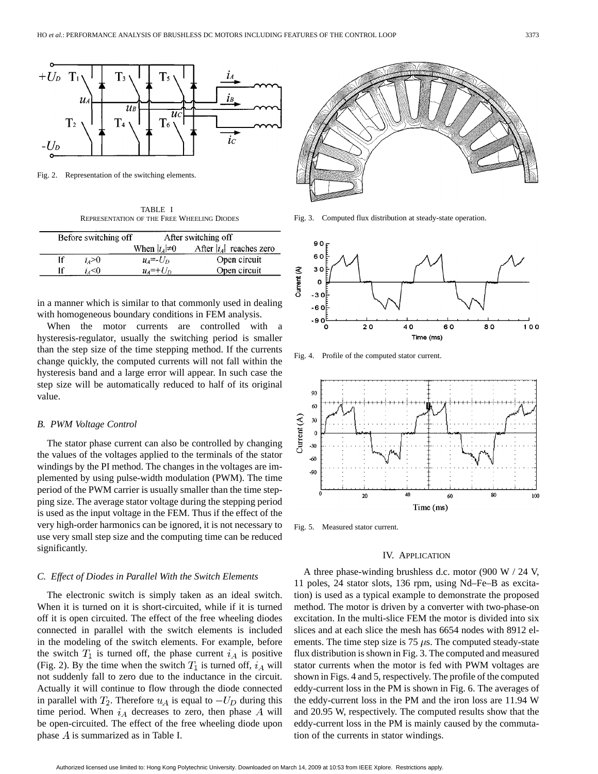

Fig. 2. Representation of the switching elements.

TABLE I REPRESENTATION OF THE FREE WHEELING DIODES

|    | Before switching off |                        | After switching off        |
|----|----------------------|------------------------|----------------------------|
|    |                      | When $ i_A \neq 0$     | After $ i_A $ reaches zero |
| Īf | $i_4>0$              | $u_4 = -U_D$           | Open circuit               |
|    | i.<0                 | $u_4$ =+U <sub>D</sub> | Open circuit               |

in a manner which is similar to that commonly used in dealing with homogeneous boundary conditions in FEM analysis.

When the motor currents are controlled with hysteresis-regulator, usually the switching period is smaller than the step size of the time stepping method. If the currents change quickly, the computed currents will not fall within the hysteresis band and a large error will appear. In such case the step size will be automatically reduced to half of its original value.

#### *B. PWM Voltage Control*

The stator phase current can also be controlled by changing the values of the voltages applied to the terminals of the stator windings by the PI method. The changes in the voltages are implemented by using pulse-width modulation (PWM). The time period of the PWM carrier is usually smaller than the time stepping size. The average stator voltage during the stepping period is used as the input voltage in the FEM. Thus if the effect of the very high-order harmonics can be ignored, it is not necessary to use very small step size and the computing time can be reduced significantly.

## *C. Effect of Diodes in Parallel With the Switch Elements*

The electronic switch is simply taken as an ideal switch. When it is turned on it is short-circuited, while if it is turned off it is open circuited. The effect of the free wheeling diodes connected in parallel with the switch elements is included in the modeling of the switch elements. For example, before the switch  $T_1$  is turned off, the phase current  $i_A$  is positive (Fig. 2). By the time when the switch  $T_1$  is turned off,  $i_A$  will not suddenly fall to zero due to the inductance in the circuit. Actually it will continue to flow through the diode connected in parallel with  $T_2$ . Therefore  $u<sub>A</sub>$  is equal to  $-U<sub>D</sub>$  during this time period. When  $i_A$  decreases to zero, then phase A will be open-circuited. The effect of the free wheeling diode upon phase  $A$  is summarized as in Table I.



Fig. 3. Computed flux distribution at steady-state operation.



Fig. 4. Profile of the computed stator current.



Fig. 5. Measured stator current.

## IV. APPLICATION

A three phase-winding brushless d.c. motor (900 W / 24 V, 11 poles, 24 stator slots, 136 rpm, using Nd–Fe–B as excitation) is used as a typical example to demonstrate the proposed method. The motor is driven by a converter with two-phase-on excitation. In the multi-slice FEM the motor is divided into six slices and at each slice the mesh has 6654 nodes with 8912 elements. The time step size is  $75 \mu s$ . The computed steady-state flux distribution is shown in Fig. 3. The computed and measured stator currents when the motor is fed with PWM voltages are shown in Figs. 4 and 5, respectively. The profile of the computed eddy-current loss in the PM is shown in Fig. 6. The averages of the eddy-current loss in the PM and the iron loss are 11.94 W and 20.95 W, respectively. The computed results show that the eddy-current loss in the PM is mainly caused by the commutation of the currents in stator windings.